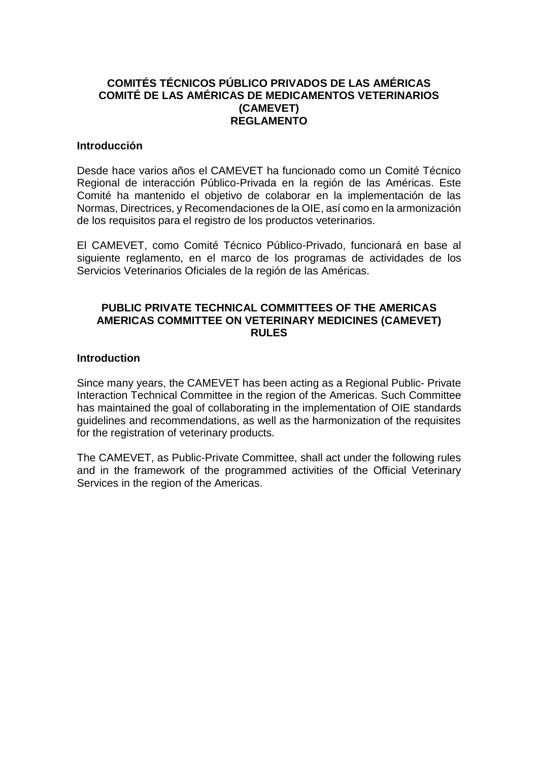## **COMITÉS TÉCNICOS PÚBLICO PRIVADOS DE LAS AMÉRICAS COMITÉ DE LAS AMÉRICAS DE MEDICAMENTOS VETERINARIOS (CAMEVET) REGLAMENTO**

#### **Introducción**

Desde hace varios años el CAMEVET ha funcionado como un Comité Técnico Regional de interacción Público-Privada en la región de las Américas. Este Comité ha mantenido el objetivo de colaborar en la implementación de las Normas, Directrices, y Recomendaciones de la OIE, así como en la armonización de los requisitos para el registro de los productos veterinarios.

El CAMEVET, como Comité Técnico Público-Privado, funcionará en base al siguiente reglamento, en el marco de los programas de actividades de los Servicios Veterinarios Oficiales de la región de las Américas.

### **PUBLIC PRIVATE TECHNICAL COMMITTEES OF THE AMERICAS AMERICAS COMMITTEE ON VETERINARY MEDICINES (CAMEVET) RULES**

#### **Introduction**

Since many years, the CAMEVET has been acting as a Regional Public- Private Interaction Technical Committee in the region of the Americas. Such Committee has maintained the goal of collaborating in the implementation of OIE standards guidelines and recommendations, as well as the harmonization of the requisites for the registration of veterinary products.

The CAMEVET, as Public-Private Committee, shall act under the following rules and in the framework of the programmed activities of the Official Veterinary Services in the region of the Americas.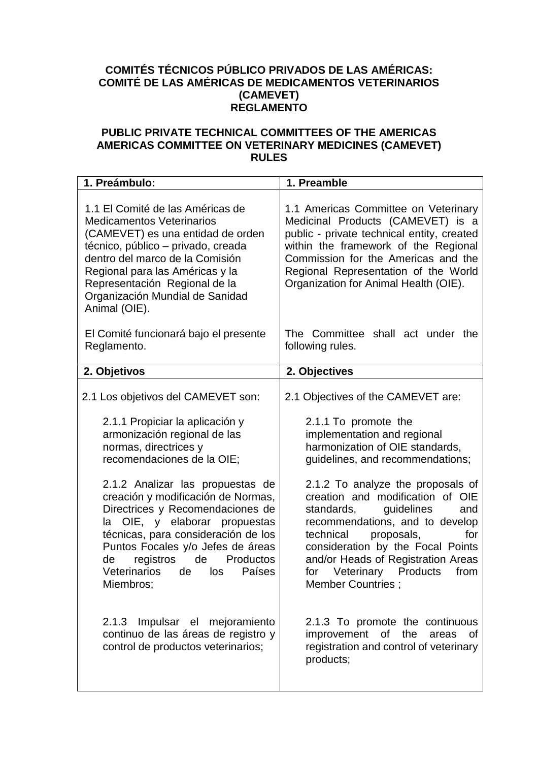# **COMITÉS TÉCNICOS PÚBLICO PRIVADOS DE LAS AMÉRICAS: COMITÉ DE LAS AMÉRICAS DE MEDICAMENTOS VETERINARIOS (CAMEVET) REGLAMENTO**

## **PUBLIC PRIVATE TECHNICAL COMMITTEES OF THE AMERICAS AMERICAS COMMITTEE ON VETERINARY MEDICINES (CAMEVET) RULES**

| 1. Preámbulo:                                                                                                                                                                                                                                                                                                                                                                                                                                                                                                                                                                                                 | 1. Preamble                                                                                                                                                                                                                                                                                                                                                                                                                                                                                                                                                                                                                         |
|---------------------------------------------------------------------------------------------------------------------------------------------------------------------------------------------------------------------------------------------------------------------------------------------------------------------------------------------------------------------------------------------------------------------------------------------------------------------------------------------------------------------------------------------------------------------------------------------------------------|-------------------------------------------------------------------------------------------------------------------------------------------------------------------------------------------------------------------------------------------------------------------------------------------------------------------------------------------------------------------------------------------------------------------------------------------------------------------------------------------------------------------------------------------------------------------------------------------------------------------------------------|
| 1.1 El Comité de las Américas de<br><b>Medicamentos Veterinarios</b><br>(CAMEVET) es una entidad de orden<br>técnico, público – privado, creada<br>dentro del marco de la Comisión<br>Regional para las Américas y la<br>Representación Regional de la<br>Organización Mundial de Sanidad<br>Animal (OIE).                                                                                                                                                                                                                                                                                                    | 1.1 Americas Committee on Veterinary<br>Medicinal Products (CAMEVET) is a<br>public - private technical entity, created<br>within the framework of the Regional<br>Commission for the Americas and the<br>Regional Representation of the World<br>Organization for Animal Health (OIE).                                                                                                                                                                                                                                                                                                                                             |
| El Comité funcionará bajo el presente<br>Reglamento.                                                                                                                                                                                                                                                                                                                                                                                                                                                                                                                                                          | The Committee shall act under the<br>following rules.                                                                                                                                                                                                                                                                                                                                                                                                                                                                                                                                                                               |
| 2. Objetivos                                                                                                                                                                                                                                                                                                                                                                                                                                                                                                                                                                                                  | 2. Objectives                                                                                                                                                                                                                                                                                                                                                                                                                                                                                                                                                                                                                       |
| 2.1 Los objetivos del CAMEVET son:<br>2.1.1 Propiciar la aplicación y<br>armonización regional de las<br>normas, directrices y<br>recomendaciones de la OIE;<br>2.1.2 Analizar las propuestas de<br>creación y modificación de Normas,<br>Directrices y Recomendaciones de<br>OIE, y elaborar<br>propuestas<br>la<br>técnicas, para consideración de los<br>Puntos Focales y/o Jefes de áreas<br>registros<br>Productos<br>de<br>de<br><b>Veterinarios</b><br>de<br>Países<br>los<br>Miembros;<br>2.1.3 Impulsar el mejoramiento<br>continuo de las áreas de registro y<br>control de productos veterinarios; | 2.1 Objectives of the CAMEVET are:<br>2.1.1 To promote the<br>implementation and regional<br>harmonization of OIE standards,<br>guidelines, and recommendations;<br>2.1.2 To analyze the proposals of<br>creation and modification of OIE<br>guidelines<br>standards,<br>and<br>recommendations, and to develop<br>technical<br>proposals,<br>for<br>consideration by the Focal Points<br>and/or Heads of Registration Areas<br>Veterinary Products<br>for<br>from<br><b>Member Countries:</b><br>2.1.3 To promote the continuous<br>of<br>the<br>improvement<br>0f<br>areas<br>registration and control of veterinary<br>products; |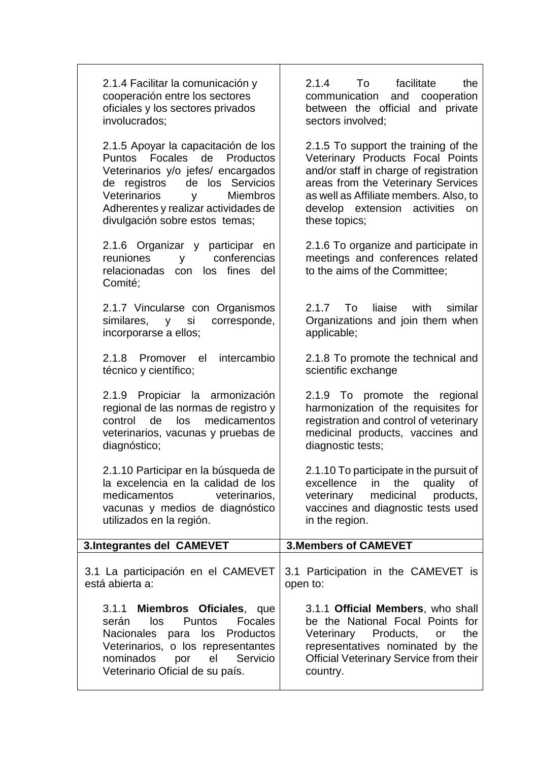| facilitate<br>the<br>communication<br>and cooperation<br>between the official and private<br>sectors involved;                                                                                                                           |
|------------------------------------------------------------------------------------------------------------------------------------------------------------------------------------------------------------------------------------------|
| 2.1.5 To support the training of the<br>Veterinary Products Focal Points<br>and/or staff in charge of registration<br>areas from the Veterinary Services<br>as well as Affiliate members. Also, to<br>develop extension activities<br>on |
| 2.1.6 To organize and participate in<br>meetings and conferences related<br>to the aims of the Committee;                                                                                                                                |
| liaise<br>with<br>similar<br>Organizations and join them when                                                                                                                                                                            |
| 2.1.8 To promote the technical and<br>scientific exchange                                                                                                                                                                                |
| 2.1.9 To promote the regional<br>harmonization of the requisites for<br>registration and control of veterinary<br>medicinal products, vaccines and                                                                                       |
| 2.1.10 To participate in the pursuit of<br>in the<br>quality<br>of<br>medicinal<br>products,<br>vaccines and diagnostic tests used                                                                                                       |
| <b>3. Members of CAMEVET</b>                                                                                                                                                                                                             |
| 3.1 Participation in the CAMEVET is                                                                                                                                                                                                      |
|                                                                                                                                                                                                                                          |
| To<br>diagnostic tests;                                                                                                                                                                                                                  |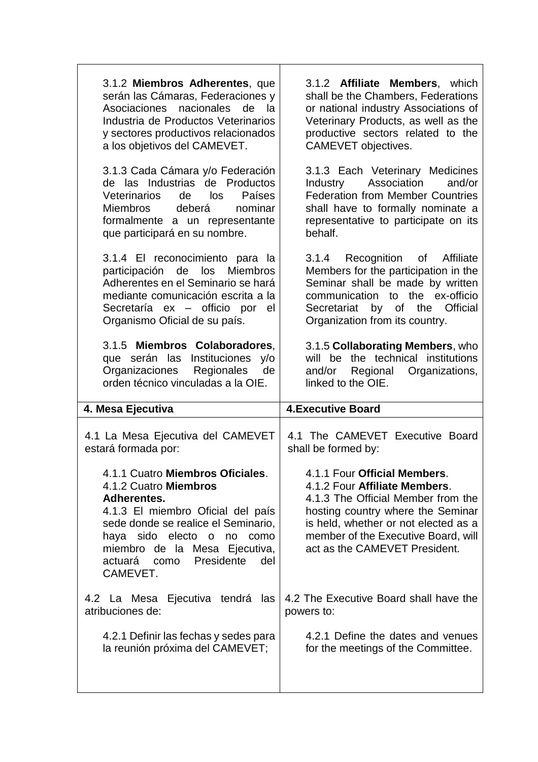| 3.1.2 Miembros Adherentes, que<br>serán las Cámaras, Federaciones y<br>Asociaciones nacionales<br>de<br>la.<br>Industria de Productos Veterinarios<br>y sectores productivos relacionados<br>a los objetivos del CAMEVET.<br>3.1.3 Cada Cámara y/o Federación<br>de las Industrias de Productos | 3.1.2 Affiliate Members, which<br>shall be the Chambers, Federations<br>or national industry Associations of<br>Veterinary Products, as well as the<br>productive sectors related to the<br>CAMEVET objectives.<br>3.1.3 Each Veterinary Medicines<br>Association<br>and/or<br>Industry |
|-------------------------------------------------------------------------------------------------------------------------------------------------------------------------------------------------------------------------------------------------------------------------------------------------|-----------------------------------------------------------------------------------------------------------------------------------------------------------------------------------------------------------------------------------------------------------------------------------------|
| <b>Veterinarios</b><br>de<br>los<br>Países<br>Miembros<br>deberá<br>nominar<br>formalmente a un representante<br>que participará en su nombre.                                                                                                                                                  | <b>Federation from Member Countries</b><br>shall have to formally nominate a<br>representative to participate on its<br>behalf.                                                                                                                                                         |
| 3.1.4 El reconocimiento para la<br>participación de los<br><b>Miembros</b><br>Adherentes en el Seminario se hará<br>mediante comunicación escrita a la<br>Secretaría ex - officio por<br>el<br>Organismo Oficial de su país.                                                                    | 3.1.4 Recognition of Affiliate<br>Members for the participation in the<br>Seminar shall be made by written<br>communication to the ex-officio<br>Secretariat by of the<br><b>Official</b><br>Organization from its country.                                                             |
| 3.1.5 Miembros Colaboradores,<br>que serán las Instituciones<br>V/O<br>Organizaciones Regionales<br>de                                                                                                                                                                                          | 3.1.5 Collaborating Members, who<br>will be the technical institutions<br>and/or Regional Organizations,                                                                                                                                                                                |
| orden técnico vinculadas a la OIE.                                                                                                                                                                                                                                                              | linked to the OIE.                                                                                                                                                                                                                                                                      |
| 4. Mesa Ejecutiva                                                                                                                                                                                                                                                                               | <b>4. Executive Board</b>                                                                                                                                                                                                                                                               |
| 4.1 La Mesa Ejecutiva del CAMEVET<br>estará formada por:                                                                                                                                                                                                                                        | 4.1 The CAMEVET Executive Board<br>shall be formed by:                                                                                                                                                                                                                                  |
| 4.1.1 Cuatro Miembros Oficiales.<br>4.1.2 Cuatro Miembros<br>Adherentes.<br>4.1.3 El miembro Oficial del país<br>sede donde se realice el Seminario,<br>haya sido electo o<br>no<br>como<br>miembro de la Mesa Ejecutiva,<br>Presidente<br>actuará<br>del<br>como<br>CAMEVET.                   | 4.1.1 Four Official Members.<br>4.1.2 Four Affiliate Members.<br>4.1.3 The Official Member from the<br>hosting country where the Seminar<br>is held, whether or not elected as a<br>member of the Executive Board, will<br>act as the CAMEVET President.                                |
| 4.2 La Mesa Ejecutiva tendrá<br>las<br>atribuciones de:                                                                                                                                                                                                                                         | 4.2 The Executive Board shall have the<br>powers to:                                                                                                                                                                                                                                    |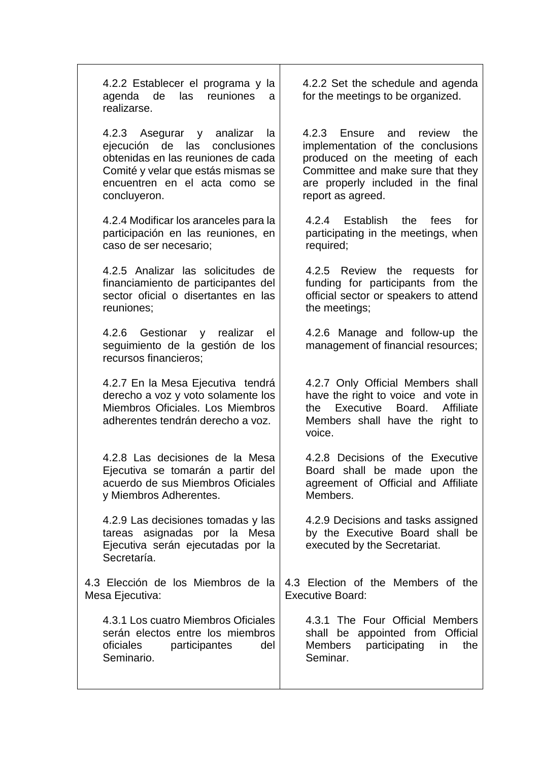4.2.2 Establecer el programa y la agenda de las reuniones a realizarse.

4.2.3 Asegurar y analizar la ejecución de las conclusiones obtenidas en las reuniones de cada Comité y velar que estás mismas se encuentren en el acta como se concluyeron.

4.2.4 Modificar los aranceles para la participación en las reuniones, en caso de ser necesario;

4.2.5 Analizar las solicitudes de financiamiento de participantes del sector oficial o disertantes en las reuniones;

4.2.6 Gestionar y realizar el seguimiento de la gestión de los recursos financieros;

4.2.7 En la Mesa Ejecutiva tendrá derecho a voz y voto solamente los Miembros Oficiales. Los Miembros adherentes tendrán derecho a voz.

4.2.8 Las decisiones de la Mesa Ejecutiva se tomarán a partir del acuerdo de sus Miembros Oficiales y Miembros Adherentes.

4.2.9 Las decisiones tomadas y las tareas asignadas por la Mesa Ejecutiva serán ejecutadas por la Secretaría.

4.3 Elección de los Miembros de la Mesa Ejecutiva:

4.3.1 Los cuatro Miembros Oficiales serán electos entre los miembros oficiales participantes del Seminario.

4.2.2 Set the schedule and agenda for the meetings to be organized.

4.2.3 Ensure and review the implementation of the conclusions produced on the meeting of each Committee and make sure that they are properly included in the final report as agreed.

4.2.4 Establish the fees for participating in the meetings, when required;

4.2.5 Review the requests for funding for participants from the official sector or speakers to attend the meetings;

4.2.6 Manage and follow-up the management of financial resources;

4.2.7 Only Official Members shall have the right to voice and vote in the Executive Board. Affiliate Members shall have the right to voice.

4.2.8 Decisions of the Executive Board shall be made upon the agreement of Official and Affiliate Members.

4.2.9 Decisions and tasks assigned by the Executive Board shall be executed by the Secretariat.

4.3 Election of the Members of the Executive Board:

4.3.1 The Four Official Members shall be appointed from Official Members participating in the Seminar.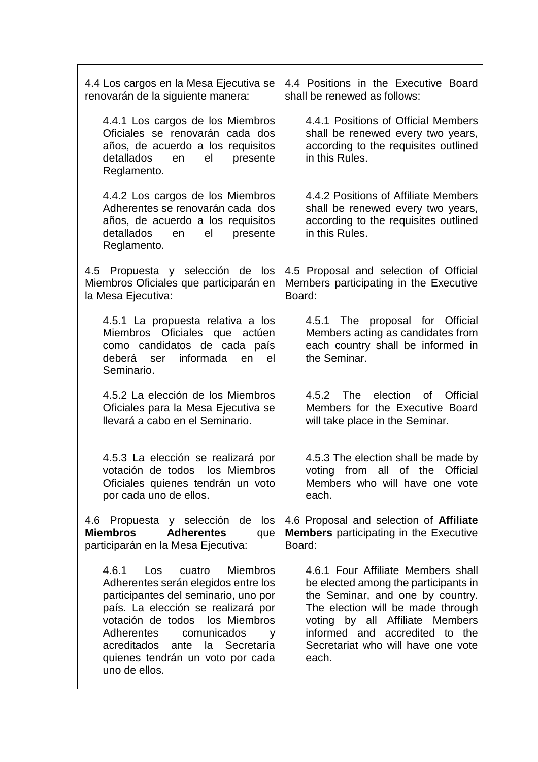| 4.4 Los cargos en la Mesa Ejecutiva se<br>renovarán de la siguiente manera:                                                                                                                                                                                                                                                         | 4.4 Positions in the Executive Board<br>shall be renewed as follows:                                                                                                                                                                                                    |
|-------------------------------------------------------------------------------------------------------------------------------------------------------------------------------------------------------------------------------------------------------------------------------------------------------------------------------------|-------------------------------------------------------------------------------------------------------------------------------------------------------------------------------------------------------------------------------------------------------------------------|
| 4.4.1 Los cargos de los Miembros<br>Oficiales se renovarán cada dos<br>años, de acuerdo a los requisitos<br>detallados<br>en<br>el<br>presente<br>Reglamento.                                                                                                                                                                       | 4.4.1 Positions of Official Members<br>shall be renewed every two years,<br>according to the requisites outlined<br>in this Rules.                                                                                                                                      |
| 4.4.2 Los cargos de los Miembros<br>Adherentes se renovarán cada dos<br>años, de acuerdo a los requisitos<br>detallados<br>el<br>presente<br>en<br>Reglamento.                                                                                                                                                                      | 4.4.2 Positions of Affiliate Members<br>shall be renewed every two years,<br>according to the requisites outlined<br>in this Rules.                                                                                                                                     |
| 4.5 Propuesta y selección de los<br>Miembros Oficiales que participarán en<br>la Mesa Ejecutiva:                                                                                                                                                                                                                                    | 4.5 Proposal and selection of Official<br>Members participating in the Executive<br>Board:                                                                                                                                                                              |
| 4.5.1 La propuesta relativa a los<br>Miembros Oficiales que actúen<br>como candidatos de cada país<br>informada<br>deberá ser<br>el<br>en<br>Seminario.                                                                                                                                                                             | 4.5.1 The proposal for Official<br>Members acting as candidates from<br>each country shall be informed in<br>the Seminar.                                                                                                                                               |
| 4.5.2 La elección de los Miembros<br>Oficiales para la Mesa Ejecutiva se<br>Ilevará a cabo en el Seminario.                                                                                                                                                                                                                         | election of<br>The<br>Official<br>4.5.2<br>Members for the Executive Board<br>will take place in the Seminar.                                                                                                                                                           |
| 4.5.3 La elección se realizará por<br>votación de todos los Miembros<br>Oficiales quienes tendrán un voto<br>por cada uno de ellos.                                                                                                                                                                                                 | 4.5.3 The election shall be made by<br>voting from all of the Official<br>Members who will have one vote<br>each.                                                                                                                                                       |
| 4.6 Propuesta y selección de los<br><b>Miembros</b><br><b>Adherentes</b><br>que<br>participarán en la Mesa Ejecutiva:                                                                                                                                                                                                               | 4.6 Proposal and selection of Affiliate<br><b>Members</b> participating in the Executive<br>Board:                                                                                                                                                                      |
| 4.6.1<br>Los<br>cuatro<br><b>Miembros</b><br>Adherentes serán elegidos entre los<br>participantes del seminario, uno por<br>país. La elección se realizará por<br>votación de todos los Miembros<br><b>Adherentes</b><br>comunicados<br>V<br>acreditados ante<br>la Secretaría<br>quienes tendrán un voto por cada<br>uno de ellos. | 4.6.1 Four Affiliate Members shall<br>be elected among the participants in<br>the Seminar, and one by country.<br>The election will be made through<br>voting by all Affiliate Members<br>informed and accredited to the<br>Secretariat who will have one vote<br>each. |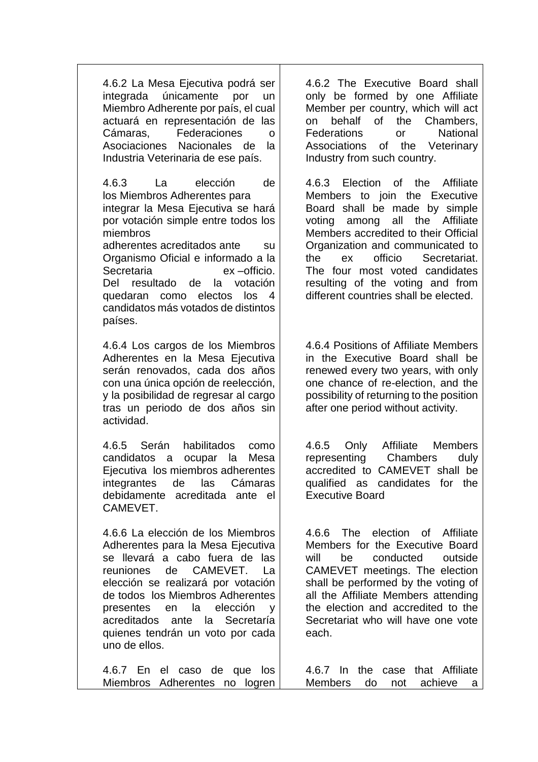4.6.2 La Mesa Ejecutiva podrá ser integrada únicamente por un Miembro Adherente por país, el cual actuará en representación de las Cámaras, Federaciones o Asociaciones Nacionales de la Industria Veterinaria de ese país.

4.6.3 La elección de los Miembros Adherentes para integrar la Mesa Ejecutiva se hará por votación simple entre todos los miembros adherentes acreditados ante su Organismo Oficial e informado a la Secretaria ex –officio. Del resultado de la votación quedaran como electos los 4 candidatos más votados de distintos países.

4.6.4 Los cargos de los Miembros Adherentes en la Mesa Ejecutiva serán renovados, cada dos años con una única opción de reelección, y la posibilidad de regresar al cargo tras un periodo de dos años sin actividad.

4.6.5 Serán habilitados como candidatos a ocupar la Mesa Ejecutiva los miembros adherentes integrantes de las Cámaras debidamente acreditada ante el CAMEVET.

4.6.6 La elección de los Miembros Adherentes para la Mesa Ejecutiva se llevará a cabo fuera de las reuniones de CAMEVET. La elección se realizará por votación de todos los Miembros Adherentes presentes en la elección y acreditados ante la Secretaría quienes tendrán un voto por cada uno de ellos.

4.6.2 The Executive Board shall only be formed by one Affiliate Member per country, which will act on behalf of the Chambers, Federations or National Associations of the Veterinary Industry from such country.

4.6.3 Election of the Affiliate Members to join the Executive Board shall be made by simple voting among all the Affiliate Members accredited to their Official Organization and communicated to the ex officio Secretariat. The four most voted candidates resulting of the voting and from different countries shall be elected.

4.6.4 Positions of Affiliate Members in the Executive Board shall be renewed every two years, with only one chance of re-election, and the possibility of returning to the position after one period without activity.

4.6.5 Only Affiliate Members representing Chambers duly accredited to CAMEVET shall be qualified as candidates for the Executive Board

4.6.6 The election of Affiliate Members for the Executive Board will be conducted outside CAMEVET meetings. The election shall be performed by the voting of all the Affiliate Members attending the election and accredited to the Secretariat who will have one vote each.

4.6.7 En el caso de que los Miembros Adherentes no logren 4.6.7 In the case that Affiliate Members do not achieve a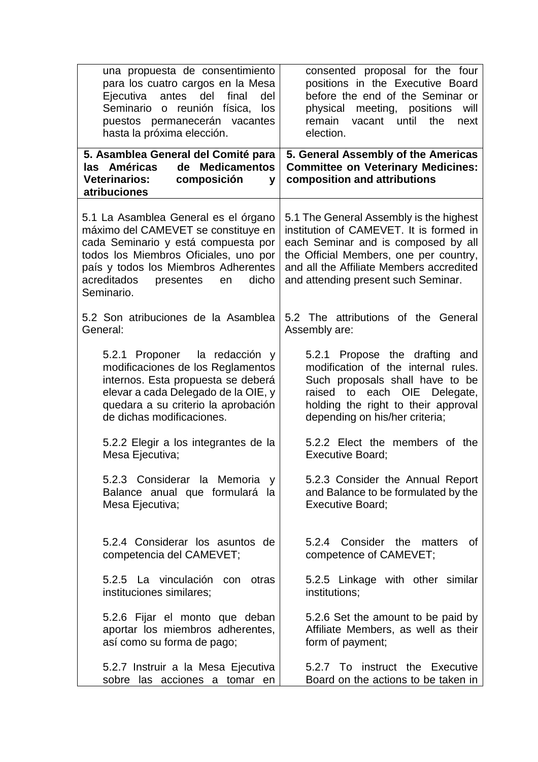| una propuesta de consentimiento<br>para los cuatro cargos en la Mesa<br>del<br>Ejecutiva<br>antes<br>final<br>del<br>Seminario<br>reunión física,<br>los<br>$\mathsf{o}$<br>puestos permanecerán vacantes<br>hasta la próxima elección.                      | consented proposal for the four<br>positions in the Executive Board<br>before the end of the Seminar or<br>physical<br>meeting, positions<br>will<br>remain<br>vacant until<br>the<br>next<br>election.                                                |
|--------------------------------------------------------------------------------------------------------------------------------------------------------------------------------------------------------------------------------------------------------------|--------------------------------------------------------------------------------------------------------------------------------------------------------------------------------------------------------------------------------------------------------|
| 5. Asamblea General del Comité para<br><b>Medicamentos</b><br>las Américas<br>de<br>composición<br><b>Veterinarios:</b><br>V<br>atribuciones                                                                                                                 | 5. General Assembly of the Americas<br><b>Committee on Veterinary Medicines:</b><br>composition and attributions                                                                                                                                       |
| 5.1 La Asamblea General es el órgano<br>máximo del CAMEVET se constituye en<br>cada Seminario y está compuesta por<br>todos los Miembros Oficiales, uno por<br>país y todos los Miembros Adherentes<br>acreditados<br>dicho<br>presentes<br>en<br>Seminario. | 5.1 The General Assembly is the highest<br>institution of CAMEVET. It is formed in<br>each Seminar and is composed by all<br>the Official Members, one per country,<br>and all the Affiliate Members accredited<br>and attending present such Seminar. |
| 5.2 Son atribuciones de la Asamblea                                                                                                                                                                                                                          | 5.2 The attributions of the General                                                                                                                                                                                                                    |
| General:                                                                                                                                                                                                                                                     | Assembly are:                                                                                                                                                                                                                                          |
| 5.2.1 Proponer la redacción y                                                                                                                                                                                                                                | 5.2.1 Propose the drafting and                                                                                                                                                                                                                         |
| modificaciones de los Reglamentos                                                                                                                                                                                                                            | modification of the internal rules.                                                                                                                                                                                                                    |
| internos. Esta propuesta se deberá                                                                                                                                                                                                                           | Such proposals shall have to be                                                                                                                                                                                                                        |
| elevar a cada Delegado de la OIE, y                                                                                                                                                                                                                          | raised to each OIE Delegate,                                                                                                                                                                                                                           |
| quedara a su criterio la aprobación                                                                                                                                                                                                                          | holding the right to their approval                                                                                                                                                                                                                    |
| de dichas modificaciones.                                                                                                                                                                                                                                    | depending on his/her criteria;                                                                                                                                                                                                                         |
| 5.2.2 Elegir a los integrantes de la                                                                                                                                                                                                                         | 5.2.2 Elect the members of the                                                                                                                                                                                                                         |
| Mesa Ejecutiva;                                                                                                                                                                                                                                              | <b>Executive Board:</b>                                                                                                                                                                                                                                |
| 5.2.3 Considerar la Memoria<br>V<br>Balance anual que formulará la<br>Mesa Ejecutiva;                                                                                                                                                                        | 5.2.3 Consider the Annual Report<br>and Balance to be formulated by the<br><b>Executive Board;</b>                                                                                                                                                     |
| 5.2.4 Considerar los asuntos de<br>competencia del CAMEVET;                                                                                                                                                                                                  | 5.2.4 Consider the matters<br>0f<br>competence of CAMEVET;                                                                                                                                                                                             |
| 5.2.5 La vinculación con otras                                                                                                                                                                                                                               | 5.2.5 Linkage with other similar                                                                                                                                                                                                                       |
| instituciones similares;                                                                                                                                                                                                                                     | institutions;                                                                                                                                                                                                                                          |
| 5.2.6 Fijar el monto que deban                                                                                                                                                                                                                               | 5.2.6 Set the amount to be paid by                                                                                                                                                                                                                     |
| aportar los miembros adherentes,                                                                                                                                                                                                                             | Affiliate Members, as well as their                                                                                                                                                                                                                    |
| así como su forma de pago;                                                                                                                                                                                                                                   | form of payment;                                                                                                                                                                                                                                       |
| 5.2.7 Instruir a la Mesa Ejecutiva                                                                                                                                                                                                                           | 5.2.7 To instruct the Executive                                                                                                                                                                                                                        |
| sobre las acciones a tomar en                                                                                                                                                                                                                                | Board on the actions to be taken in                                                                                                                                                                                                                    |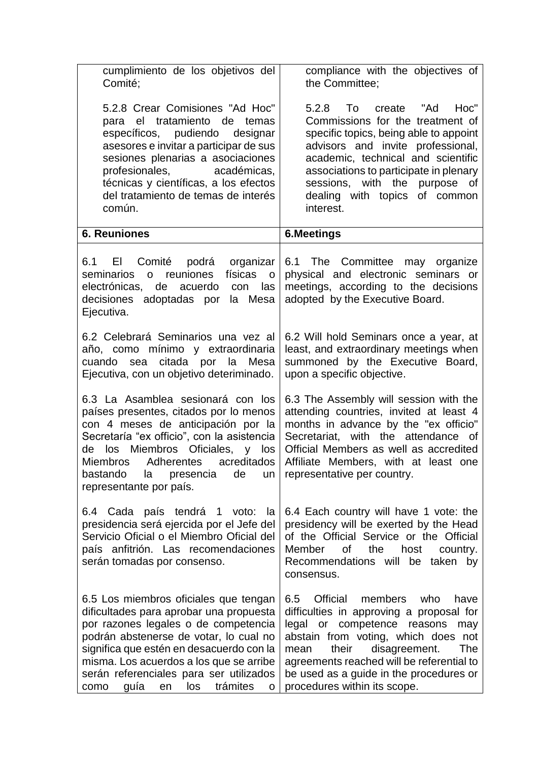| cumplimiento de los objetivos del<br>Comité;                                                                                                                                                                                                                                                                                                       | compliance with the objectives of<br>the Committee;                                                                                                                                                                                                                                                                                          |
|----------------------------------------------------------------------------------------------------------------------------------------------------------------------------------------------------------------------------------------------------------------------------------------------------------------------------------------------------|----------------------------------------------------------------------------------------------------------------------------------------------------------------------------------------------------------------------------------------------------------------------------------------------------------------------------------------------|
| 5.2.8 Crear Comisiones "Ad Hoc"<br>para el tratamiento de temas<br>específicos, pudiendo<br>designar<br>asesores e invitar a participar de sus<br>sesiones plenarias a asociaciones<br>profesionales, académicas,<br>técnicas y científicas, a los efectos<br>del tratamiento de temas de interés<br>común.                                        | To<br>Hoc"<br>5.2.8<br>create<br>"Ad<br>Commissions for the treatment of<br>specific topics, being able to appoint<br>advisors and invite professional,<br>academic, technical and scientific<br>associations to participate in plenary<br>with the purpose of<br>sessions,<br>dealing with topics of common<br>interest.                    |
| <b>6. Reuniones</b>                                                                                                                                                                                                                                                                                                                                | <b>6.Meetings</b>                                                                                                                                                                                                                                                                                                                            |
| 6.1<br>EI<br>Comité<br>podrá<br>organizar<br>físicas<br>reuniones<br>seminarios<br>$\mathsf{o}$<br>$\mathsf{O}$<br>electrónicas,<br>de<br>acuerdo<br>con<br>las<br>la Mesa<br>decisiones adoptadas por<br>Ejecutiva.                                                                                                                               | 6.1 The Committee may organize<br>physical and electronic seminars or<br>meetings, according to the decisions<br>adopted by the Executive Board.                                                                                                                                                                                             |
| 6.2 Celebrará Seminarios una vez al<br>año, como mínimo y extraordinaria<br>citada por la Mesa<br>cuando sea<br>Ejecutiva, con un objetivo deteriminado.                                                                                                                                                                                           | 6.2 Will hold Seminars once a year, at<br>least, and extraordinary meetings when<br>summoned by the Executive Board,<br>upon a specific objective.                                                                                                                                                                                           |
| 6.3 La Asamblea sesionará con los<br>países presentes, citados por lo menos<br>con 4 meses de anticipación por la<br>Secretaría "ex officio", con la asistencia<br>Miembros Oficiales,<br>los<br>y los<br>de<br>Miembros Adherentes<br>acreditados<br>bastando<br>la<br>de<br>presencia<br>un<br>representante por país.                           | 6.3 The Assembly will session with the<br>attending countries, invited at least 4<br>months in advance by the "ex officio"<br>Secretariat, with the attendance of<br>Official Members as well as accredited<br>Affiliate Members, with at least one<br>representative per country.                                                           |
| 6.4 Cada país tendrá 1 voto:<br>la<br>presidencia será ejercida por el Jefe del<br>Servicio Oficial o el Miembro Oficial del<br>país anfitrión. Las recomendaciones<br>serán tomadas por consenso.                                                                                                                                                 | 6.4 Each country will have 1 vote: the<br>presidency will be exerted by the Head<br>of the Official Service or the Official<br>Member<br>0f<br>the<br>host<br>country.<br>Recommendations will be<br>taken<br>by<br>consensus.                                                                                                               |
| 6.5 Los miembros oficiales que tengan<br>dificultades para aprobar una propuesta<br>por razones legales o de competencia<br>podrán abstenerse de votar, lo cual no<br>significa que estén en desacuerdo con la<br>misma. Los acuerdos a los que se arribe<br>serán referenciales para ser utilizados<br>los<br>trámites<br>guía<br>como<br>en<br>O | 6.5<br>Official<br>members<br>who<br>have<br>difficulties in approving a proposal for<br>legal<br>competence<br>reasons<br>or<br>may<br>abstain from voting, which does not<br>The<br>their<br>disagreement.<br>mean<br>agreements reached will be referential to<br>be used as a guide in the procedures or<br>procedures within its scope. |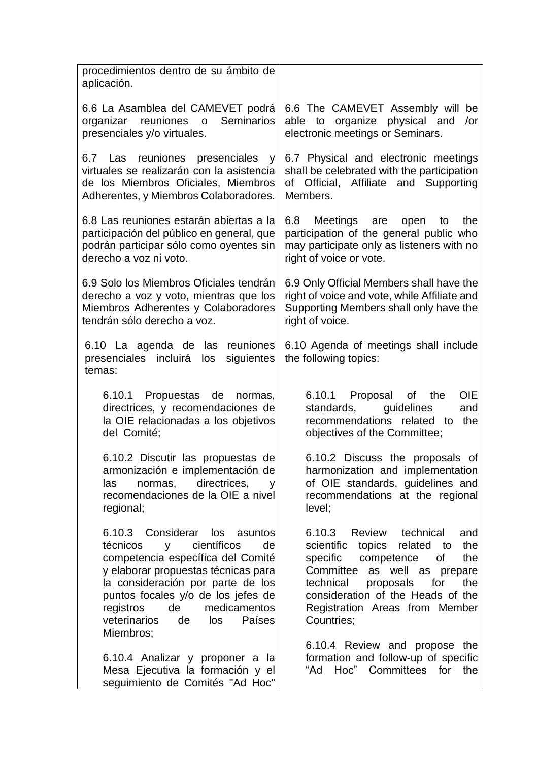| procedimientos dentro de su ámbito de<br>aplicación.                                                                                                                                                                                                                                                              |                                                                                                                                                                                                                                                                                       |
|-------------------------------------------------------------------------------------------------------------------------------------------------------------------------------------------------------------------------------------------------------------------------------------------------------------------|---------------------------------------------------------------------------------------------------------------------------------------------------------------------------------------------------------------------------------------------------------------------------------------|
| 6.6 La Asamblea del CAMEVET podrá<br>organizar reuniones o<br>Seminarios<br>presenciales y/o virtuales.                                                                                                                                                                                                           | 6.6 The CAMEVET Assembly will be<br>able to organize physical and<br>/or<br>electronic meetings or Seminars.                                                                                                                                                                          |
| 6.7 Las reuniones presenciales y<br>virtuales se realizarán con la asistencia<br>de los Miembros Oficiales, Miembros<br>Adherentes, y Miembros Colaboradores.                                                                                                                                                     | 6.7 Physical and electronic meetings<br>shall be celebrated with the participation<br>of Official, Affiliate and Supporting<br>Members.                                                                                                                                               |
| 6.8 Las reuniones estarán abiertas a la<br>participación del público en general, que<br>podrán participar sólo como oyentes sin<br>derecho a voz ni voto.                                                                                                                                                         | 6.8<br>Meetings<br>the<br>are<br>open<br>to<br>participation of the general public who<br>may participate only as listeners with no<br>right of voice or vote.                                                                                                                        |
| 6.9 Solo los Miembros Oficiales tendrán<br>derecho a voz y voto, mientras que los<br>Miembros Adherentes y Colaboradores<br>tendrán sólo derecho a voz.                                                                                                                                                           | 6.9 Only Official Members shall have the<br>right of voice and vote, while Affiliate and<br>Supporting Members shall only have the<br>right of voice.                                                                                                                                 |
| 6.10 La agenda de las reuniones<br>presenciales incluirá<br>siguientes<br>los<br>temas:                                                                                                                                                                                                                           | 6.10 Agenda of meetings shall include<br>the following topics:                                                                                                                                                                                                                        |
| 6.10.1 Propuestas<br>de<br>normas,<br>directrices, y recomendaciones de<br>la OIE relacionadas a los objetivos<br>del Comité;                                                                                                                                                                                     | <b>OIE</b><br>6.10.1 Proposal of<br>the<br>standards,<br>guidelines<br>and<br>recommendations related<br>the<br>to<br>objectives of the Committee;                                                                                                                                    |
| 6.10.2 Discutir las propuestas de<br>armonización e implementación de<br>directrices,<br>las<br>normas,<br>V<br>recomendaciones de la OIE a nivel<br>regional;                                                                                                                                                    | 6.10.2 Discuss the proposals of<br>harmonization and implementation<br>of OIE standards, guidelines and<br>recommendations at the regional<br>level;                                                                                                                                  |
| 6.10.3 Considerar los asuntos<br>científicos<br>técnicos<br>de<br>y<br>competencia específica del Comité<br>y elaborar propuestas técnicas para<br>la consideración por parte de los<br>puntos focales y/o de los jefes de<br>registros<br>de<br>medicamentos<br>veterinarios<br>Países<br>de<br>los<br>Miembros; | 6.10.3<br>Review technical<br>and<br>scientific<br>topics<br>related<br>the<br>to<br>the<br>specific<br>competence<br>Οf<br>Committee as well as prepare<br>technical<br>proposals<br>for<br>the<br>consideration of the Heads of the<br>Registration Areas from Member<br>Countries; |
| 6.10.4 Analizar y proponer a la<br>Mesa Ejecutiva la formación y el<br>seguimiento de Comités "Ad Hoc"                                                                                                                                                                                                            | 6.10.4 Review and propose the<br>formation and follow-up of specific<br>Hoc" Committees for<br>"Ad<br>the                                                                                                                                                                             |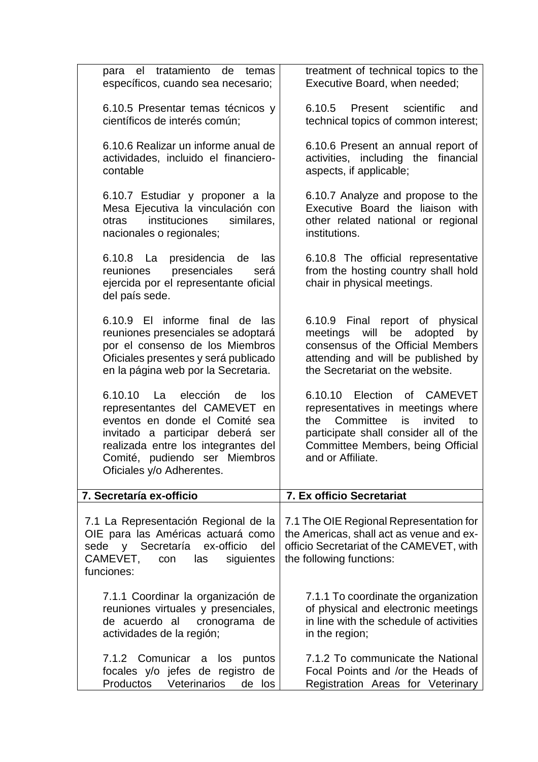| tratamiento<br>de<br>el<br>temas<br>para<br>específicos, cuando sea necesario;                                                                                                                                                                             | treatment of technical topics to the<br>Executive Board, when needed;                                                                                                                                                          |
|------------------------------------------------------------------------------------------------------------------------------------------------------------------------------------------------------------------------------------------------------------|--------------------------------------------------------------------------------------------------------------------------------------------------------------------------------------------------------------------------------|
| 6.10.5 Presentar temas técnicos y<br>científicos de interés común;                                                                                                                                                                                         | 6.10.5<br>scientific<br>Present<br>and<br>technical topics of common interest;                                                                                                                                                 |
| 6.10.6 Realizar un informe anual de<br>actividades, incluido el financiero-<br>contable                                                                                                                                                                    | 6.10.6 Present an annual report of<br>activities, including the financial<br>aspects, if applicable;                                                                                                                           |
| 6.10.7 Estudiar y proponer a la<br>Mesa Ejecutiva la vinculación con<br>instituciones<br>similares,<br>otras<br>nacionales o regionales;                                                                                                                   | 6.10.7 Analyze and propose to the<br>Executive Board the liaison with<br>other related national or regional<br>institutions.                                                                                                   |
| 6.10.8 La presidencia<br>de<br>las<br>presenciales<br>reuniones<br>será<br>ejercida por el representante oficial<br>del país sede.                                                                                                                         | 6.10.8 The official representative<br>from the hosting country shall hold<br>chair in physical meetings.                                                                                                                       |
| 6.10.9 El informe<br>final de<br>las<br>reuniones presenciales se adoptará<br>por el consenso de los Miembros<br>Oficiales presentes y será publicado<br>en la página web por la Secretaria.                                                               | Final report of physical<br>6.10.9<br>will<br>be<br>meetings<br>adopted<br>by<br>consensus of the Official Members<br>attending and will be published by<br>the Secretariat on the website.                                    |
| 6.10.10<br>elección<br>- La<br>de<br>los<br>representantes del CAMEVET<br>en<br>eventos en donde el Comité sea<br>invitado a participar deberá<br>ser<br>realizada entre los integrantes del<br>Comité, pudiendo ser Miembros<br>Oficiales y/o Adherentes. | 6.10.10<br>Election<br><b>CAMEVET</b><br>of<br>representatives in meetings where<br>Committee<br>invited<br>the<br>is<br>to<br>participate shall consider all of the<br>Committee Members, being Official<br>and or Affiliate. |
| 7. Secretaría ex-officio                                                                                                                                                                                                                                   | 7. Ex officio Secretariat                                                                                                                                                                                                      |
| 7.1 La Representación Regional de la<br>OIE para las Américas actuará como<br>ex-officio<br>sede y Secretaría<br>del<br>CAMEVET,<br>las<br>siguientes<br>con<br>funciones:                                                                                 | 7.1 The OIE Regional Representation for<br>the Americas, shall act as venue and ex-<br>officio Secretariat of the CAMEVET, with<br>the following functions:                                                                    |
| 7.1.1 Coordinar la organización de<br>reuniones virtuales y presenciales,<br>cronograma de<br>de acuerdo al<br>actividades de la región;                                                                                                                   | 7.1.1 To coordinate the organization<br>of physical and electronic meetings<br>in line with the schedule of activities<br>in the region;                                                                                       |
| 7.1.2 Comunicar a<br>los<br>puntos<br>focales y/o jefes de registro de<br>Productos<br>Veterinarios<br>de los                                                                                                                                              | 7.1.2 To communicate the National<br>Focal Points and /or the Heads of<br>Registration Areas for Veterinary                                                                                                                    |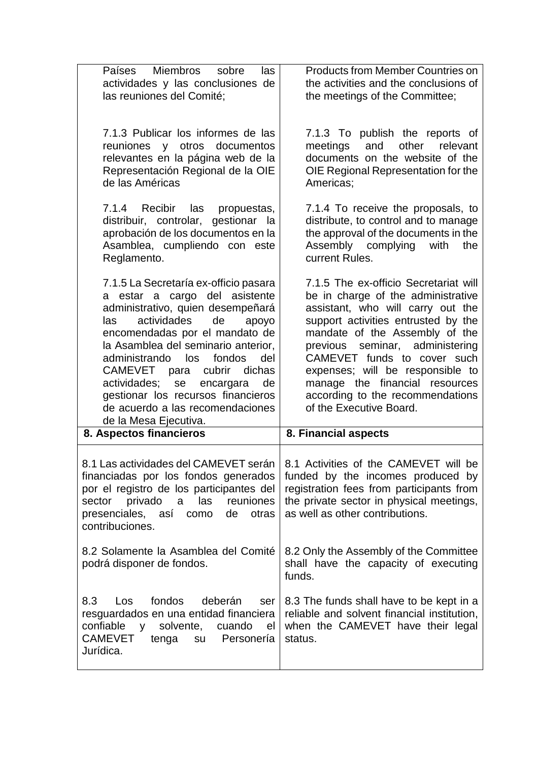| Países Miembros<br>sobre<br>las<br>actividades y las conclusiones de<br>las reuniones del Comité;                                                                                                                                                                                                                                                                                                                                                  | <b>Products from Member Countries on</b><br>the activities and the conclusions of<br>the meetings of the Committee;                                                                                                                                                                                                                                                                                 |
|----------------------------------------------------------------------------------------------------------------------------------------------------------------------------------------------------------------------------------------------------------------------------------------------------------------------------------------------------------------------------------------------------------------------------------------------------|-----------------------------------------------------------------------------------------------------------------------------------------------------------------------------------------------------------------------------------------------------------------------------------------------------------------------------------------------------------------------------------------------------|
| 7.1.3 Publicar los informes de las<br>documentos<br>reuniones y otros<br>relevantes en la página web de la<br>Representación Regional de la OIE<br>de las Américas                                                                                                                                                                                                                                                                                 | 7.1.3 To publish the reports of<br>other<br>meetings<br>and<br>relevant<br>documents on the website of the<br>OIE Regional Representation for the<br>Americas;                                                                                                                                                                                                                                      |
| 7.1.4 Recibir<br>las<br>propuestas,<br>distribuir, controlar, gestionar la<br>aprobación de los documentos en la<br>Asamblea, cumpliendo con este<br>Reglamento.                                                                                                                                                                                                                                                                                   | 7.1.4 To receive the proposals, to<br>distribute, to control and to manage<br>the approval of the documents in the<br>Assembly complying<br>with<br>the<br>current Rules.                                                                                                                                                                                                                           |
| 7.1.5 La Secretaría ex-officio pasara<br>a estar a cargo del asistente<br>administrativo, quien desempeñará<br>actividades<br>de<br>las<br>apoyo<br>encomendadas por el mandato de<br>la Asamblea del seminario anterior.<br>administrando<br>fondos<br>del<br>los<br>CAMEVET para<br>cubrir<br>dichas<br>actividades;<br>se<br>encargara<br>de<br>gestionar los recursos financieros<br>de acuerdo a las recomendaciones<br>de la Mesa Ejecutiva. | 7.1.5 The ex-officio Secretariat will<br>be in charge of the administrative<br>assistant, who will carry out the<br>support activities entrusted by the<br>mandate of the Assembly of the<br>seminar, administering<br>previous<br>CAMEVET funds to cover such<br>expenses; will be responsible to<br>manage the financial resources<br>according to the recommendations<br>of the Executive Board. |
| 8. Aspectos financieros                                                                                                                                                                                                                                                                                                                                                                                                                            | 8. Financial aspects                                                                                                                                                                                                                                                                                                                                                                                |
| financiadas por los fondos generados<br>por el registro de los participantes del<br>privado<br>las<br>reuniones<br>sector<br>a<br>presenciales, así<br>de<br>otras<br>como<br>contribuciones.                                                                                                                                                                                                                                                      | 8.1 Las actividades del CAMEVET serán   8.1 Activities of the CAMEVET will be<br>funded by the incomes produced by<br>registration fees from participants from<br>the private sector in physical meetings,<br>as well as other contributions.                                                                                                                                                       |
| 8.2 Solamente la Asamblea del Comité<br>podrá disponer de fondos.                                                                                                                                                                                                                                                                                                                                                                                  | 8.2 Only the Assembly of the Committee<br>shall have the capacity of executing<br>funds.                                                                                                                                                                                                                                                                                                            |
| fondos<br>deberán<br>8.3<br>Los<br>ser<br>resguardados en una entidad financiera<br>confiable<br>solvente,<br>cuando<br>V<br>el<br><b>CAMEVET</b><br>Personería<br>tenga<br>su<br>Jurídica.                                                                                                                                                                                                                                                        | 8.3 The funds shall have to be kept in a<br>reliable and solvent financial institution,<br>when the CAMEVET have their legal<br>status.                                                                                                                                                                                                                                                             |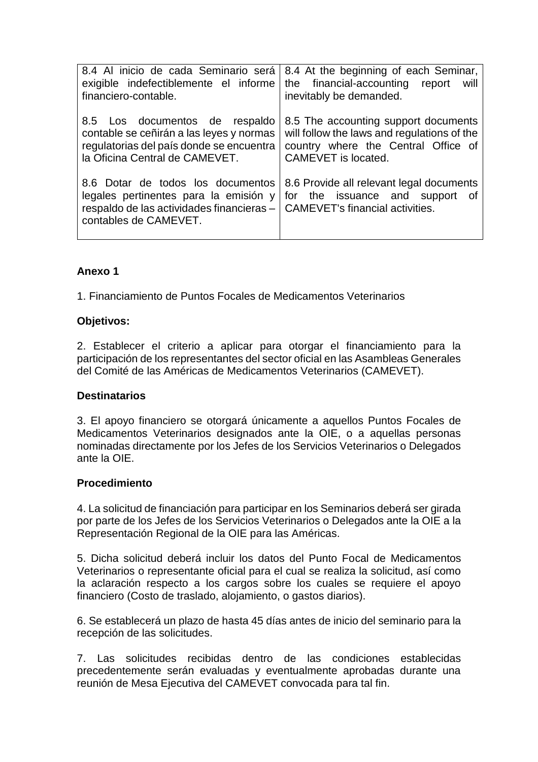| 8.4 Al inicio de cada Seminario será<br>exigible indefectiblemente el informe<br>financiero-contable.                                                                              | 8.4 At the beginning of each Seminar,<br>the financial-accounting report<br>will<br>inevitably be demanded.                                       |
|------------------------------------------------------------------------------------------------------------------------------------------------------------------------------------|---------------------------------------------------------------------------------------------------------------------------------------------------|
| 8.5 Los documentos de respaldo<br>contable se ceñirán a las leyes y normas<br>regulatorias del país donde se encuentra<br>la Oficina Central de CAMEVET.                           | 8.5 The accounting support documents<br>will follow the laws and regulations of the<br>country where the Central Office of<br>CAMEVET is located. |
| 8.6 Dotar de todos los documentos<br>legales pertinentes para la emisión y<br>respaldo de las actividades financieras –   CAMEVET's financial activities.<br>contables de CAMEVET. | 8.6 Provide all relevant legal documents<br>for the issuance and support of                                                                       |

# **Anexo 1**

1. Financiamiento de Puntos Focales de Medicamentos Veterinarios

#### **Objetivos:**

2. Establecer el criterio a aplicar para otorgar el financiamiento para la participación de los representantes del sector oficial en las Asambleas Generales del Comité de las Américas de Medicamentos Veterinarios (CAMEVET).

## **Destinatarios**

3. El apoyo financiero se otorgará únicamente a aquellos Puntos Focales de Medicamentos Veterinarios designados ante la OIE, o a aquellas personas nominadas directamente por los Jefes de los Servicios Veterinarios o Delegados ante la OIE.

## **Procedimiento**

4. La solicitud de financiación para participar en los Seminarios deberá ser girada por parte de los Jefes de los Servicios Veterinarios o Delegados ante la OIE a la Representación Regional de la OIE para las Américas.

5. Dicha solicitud deberá incluir los datos del Punto Focal de Medicamentos Veterinarios o representante oficial para el cual se realiza la solicitud, así como la aclaración respecto a los cargos sobre los cuales se requiere el apoyo financiero (Costo de traslado, alojamiento, o gastos diarios).

6. Se establecerá un plazo de hasta 45 días antes de inicio del seminario para la recepción de las solicitudes.

7. Las solicitudes recibidas dentro de las condiciones establecidas precedentemente serán evaluadas y eventualmente aprobadas durante una reunión de Mesa Ejecutiva del CAMEVET convocada para tal fin.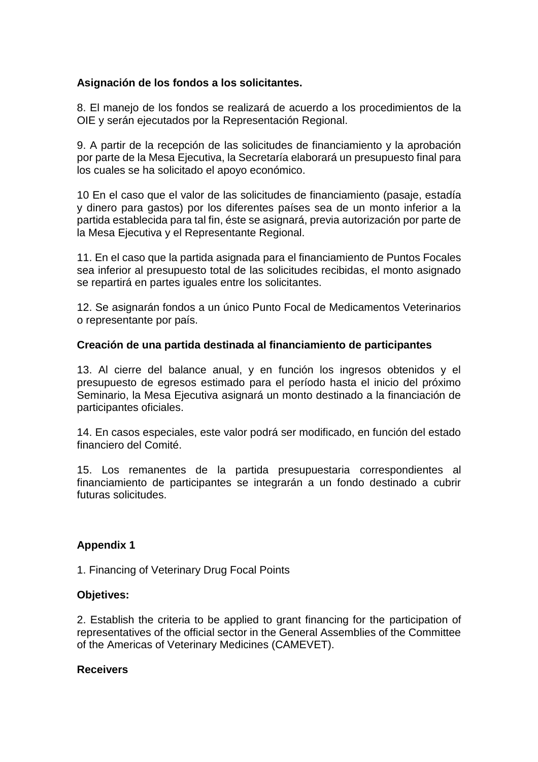## **Asignación de los fondos a los solicitantes.**

8. El manejo de los fondos se realizará de acuerdo a los procedimientos de la OIE y serán ejecutados por la Representación Regional.

9. A partir de la recepción de las solicitudes de financiamiento y la aprobación por parte de la Mesa Ejecutiva, la Secretaría elaborará un presupuesto final para los cuales se ha solicitado el apoyo económico.

10 En el caso que el valor de las solicitudes de financiamiento (pasaje, estadía y dinero para gastos) por los diferentes países sea de un monto inferior a la partida establecida para tal fin, éste se asignará, previa autorización por parte de la Mesa Ejecutiva y el Representante Regional.

11. En el caso que la partida asignada para el financiamiento de Puntos Focales sea inferior al presupuesto total de las solicitudes recibidas, el monto asignado se repartirá en partes iguales entre los solicitantes.

12. Se asignarán fondos a un único Punto Focal de Medicamentos Veterinarios o representante por país.

## **Creación de una partida destinada al financiamiento de participantes**

13. Al cierre del balance anual, y en función los ingresos obtenidos y el presupuesto de egresos estimado para el período hasta el inicio del próximo Seminario, la Mesa Ejecutiva asignará un monto destinado a la financiación de participantes oficiales.

14. En casos especiales, este valor podrá ser modificado, en función del estado financiero del Comité.

15. Los remanentes de la partida presupuestaria correspondientes al financiamiento de participantes se integrarán a un fondo destinado a cubrir futuras solicitudes.

## **Appendix 1**

1. Financing of Veterinary Drug Focal Points

## **Objetives:**

2. Establish the criteria to be applied to grant financing for the participation of representatives of the official sector in the General Assemblies of the Committee of the Americas of Veterinary Medicines (CAMEVET).

#### **Receivers**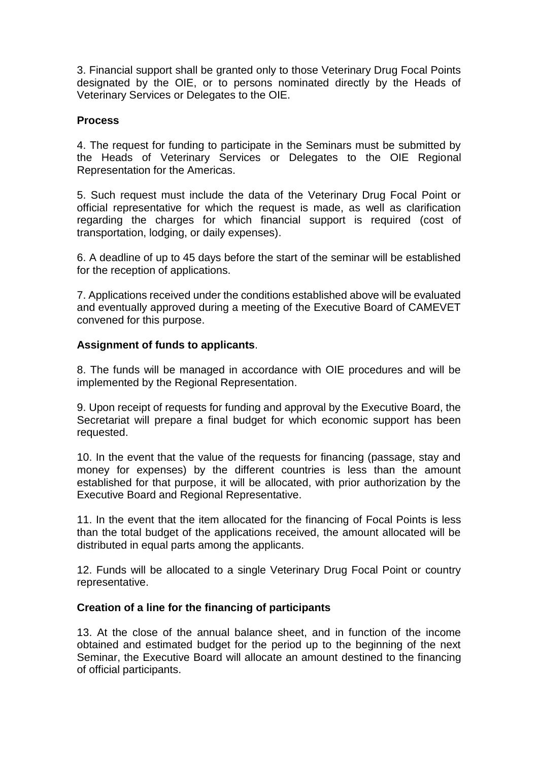3. Financial support shall be granted only to those Veterinary Drug Focal Points designated by the OIE, or to persons nominated directly by the Heads of Veterinary Services or Delegates to the OIE.

# **Process**

4. The request for funding to participate in the Seminars must be submitted by the Heads of Veterinary Services or Delegates to the OIE Regional Representation for the Americas.

5. Such request must include the data of the Veterinary Drug Focal Point or official representative for which the request is made, as well as clarification regarding the charges for which financial support is required (cost of transportation, lodging, or daily expenses).

6. A deadline of up to 45 days before the start of the seminar will be established for the reception of applications.

7. Applications received under the conditions established above will be evaluated and eventually approved during a meeting of the Executive Board of CAMEVET convened for this purpose.

# **Assignment of funds to applicants**.

8. The funds will be managed in accordance with OIE procedures and will be implemented by the Regional Representation.

9. Upon receipt of requests for funding and approval by the Executive Board, the Secretariat will prepare a final budget for which economic support has been requested.

10. In the event that the value of the requests for financing (passage, stay and money for expenses) by the different countries is less than the amount established for that purpose, it will be allocated, with prior authorization by the Executive Board and Regional Representative.

11. In the event that the item allocated for the financing of Focal Points is less than the total budget of the applications received, the amount allocated will be distributed in equal parts among the applicants.

12. Funds will be allocated to a single Veterinary Drug Focal Point or country representative.

## **Creation of a line for the financing of participants**

13. At the close of the annual balance sheet, and in function of the income obtained and estimated budget for the period up to the beginning of the next Seminar, the Executive Board will allocate an amount destined to the financing of official participants.